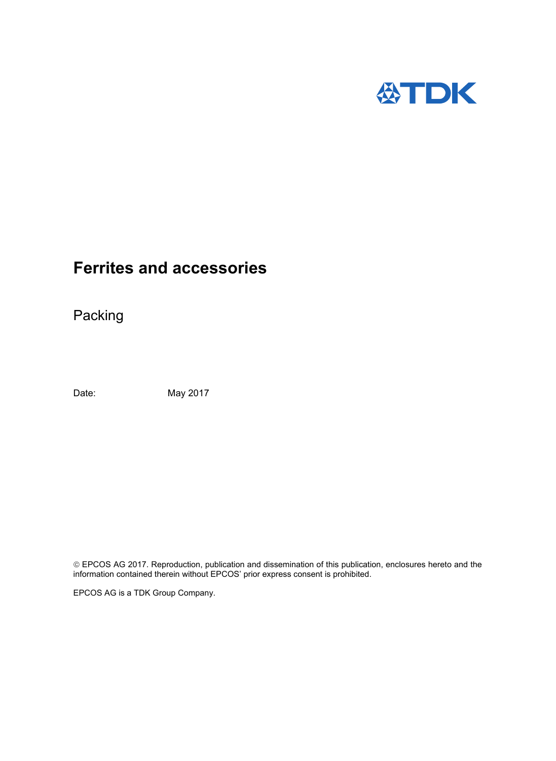

Packing

Date: May 2017

 EPCOS AG 2017. Reproduction, publication and dissemination of this publication, enclosures hereto and the information contained therein without EPCOS' prior express consent is prohibited.

EPCOS AG is a TDK Group Company.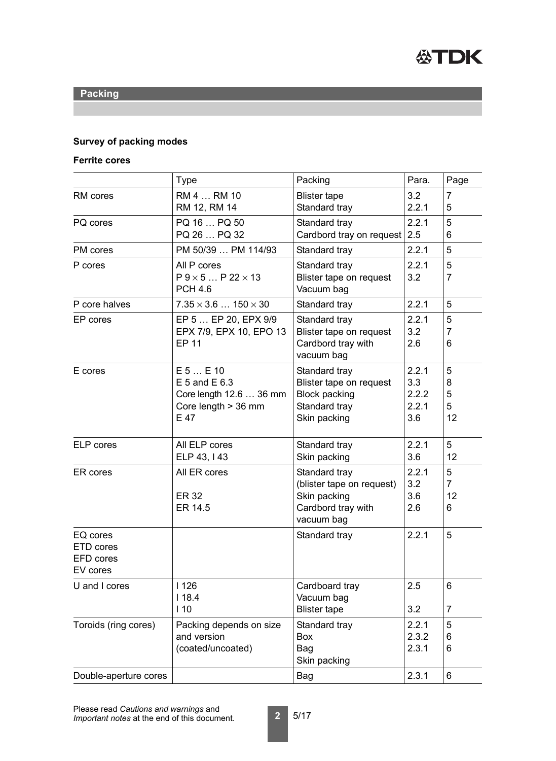

### **Survey of packing modes**

### **Ferrite cores**

|                                                       | <b>Type</b>                                                                                 | Packing                                                                                           | Para.                                 | Page                           |
|-------------------------------------------------------|---------------------------------------------------------------------------------------------|---------------------------------------------------------------------------------------------------|---------------------------------------|--------------------------------|
| <b>RM</b> cores                                       | RM 4  RM 10<br>RM 12, RM 14                                                                 | <b>Blister tape</b><br>Standard tray                                                              | 3.2<br>2.2.1                          | $\overline{7}$<br>5            |
| PQ cores                                              | PQ 16  PQ 50<br>PQ 26  PQ 32                                                                | Standard tray<br>Cardbord tray on request                                                         | 2.2.1<br>2.5                          | 5<br>6                         |
| <b>PM</b> cores                                       | PM 50/39  PM 114/93                                                                         | Standard tray                                                                                     | 2.2.1                                 | 5                              |
| P cores                                               | All P cores<br>$P$ 9 $\times$ 5 $\ldots$ P 22 $\times$ 13<br><b>PCH 4.6</b>                 | Standard tray<br>Blister tape on request<br>Vacuum bag                                            | 2.2.1<br>3.2                          | 5<br>$\overline{7}$            |
| P core halves                                         | $7.35 \times 3.6$ $150 \times 30$                                                           | Standard tray                                                                                     | 2.2.1                                 | 5                              |
| EP cores                                              | EP 5  EP 20, EPX 9/9<br>EPX 7/9, EPX 10, EPO 13<br><b>EP 11</b>                             | Standard tray<br>Blister tape on request<br>Cardbord tray with<br>vacuum bag                      | 2.2.1<br>3.2<br>2.6                   | 5<br>$\overline{7}$<br>6       |
| E cores                                               | $E$ 5 $E$ 10<br>$E$ 5 and $E$ 6.3<br>Core length 12.6  36 mm<br>Core length > 36 mm<br>E 47 | Standard tray<br>Blister tape on request<br><b>Block packing</b><br>Standard tray<br>Skin packing | 2.2.1<br>3.3<br>2.2.2<br>2.2.1<br>3.6 | 5<br>8<br>5<br>5<br>12         |
| <b>ELP</b> cores                                      | All ELP cores<br>ELP 43, I 43                                                               | Standard tray<br>Skin packing                                                                     | 2.2.1<br>3.6                          | 5<br>12                        |
| ER cores                                              | All ER cores<br><b>ER 32</b><br>ER 14.5                                                     | Standard tray<br>(blister tape on request)<br>Skin packing<br>Cardbord tray with<br>vacuum bag    | 2.2.1<br>3.2<br>3.6<br>2.6            | 5<br>$\overline{7}$<br>12<br>6 |
| EQ cores<br>ETD cores<br><b>EFD</b> cores<br>EV cores |                                                                                             | Standard tray                                                                                     | 2.2.1                                 | 5                              |
| U and I cores                                         | 1126<br>118.4<br>110                                                                        | Cardboard tray<br>Vacuum bag<br><b>Blister tape</b>                                               | 2.5<br>3.2                            | 6<br>$\overline{7}$            |
| Toroids (ring cores)                                  | Packing depends on size                                                                     | Standard tray                                                                                     | 2.2.1                                 | 5                              |
|                                                       | and version                                                                                 | <b>Box</b>                                                                                        | 2.3.2                                 | 6                              |
|                                                       | (coated/uncoated)                                                                           | Bag<br>Skin packing                                                                               | 2.3.1                                 | 6                              |
| Double-aperture cores                                 |                                                                                             | <b>Bag</b>                                                                                        | 2.3.1                                 | 6                              |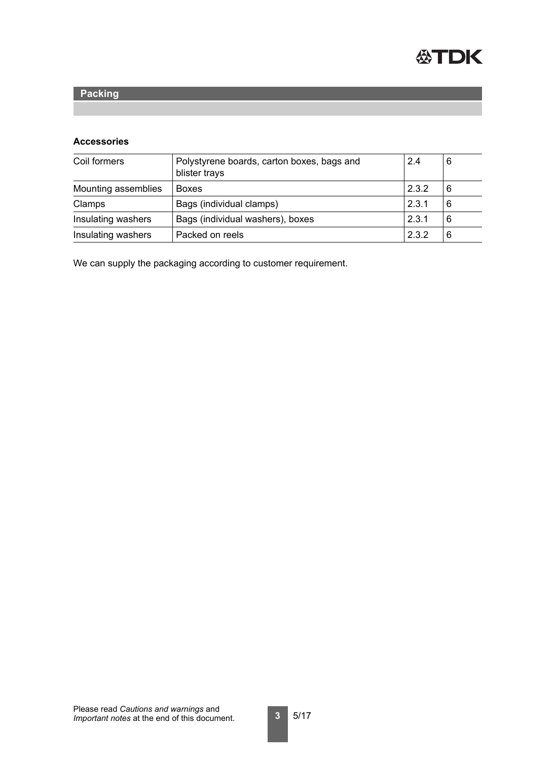

### **Accessories**

| Coil formers        | Polystyrene boards, carton boxes, bags and<br>blister trays | 2.4   | 6 |
|---------------------|-------------------------------------------------------------|-------|---|
| Mounting assemblies | <b>Boxes</b>                                                | 2.3.2 | 6 |
| Clamps              | Bags (individual clamps)                                    | 2.3.1 | 6 |
| Insulating washers  | Bags (individual washers), boxes                            | 2.3.1 | 6 |
| Insulating washers  | Packed on reels                                             | 2.3.2 | 6 |

We can supply the packaging according to customer requirement.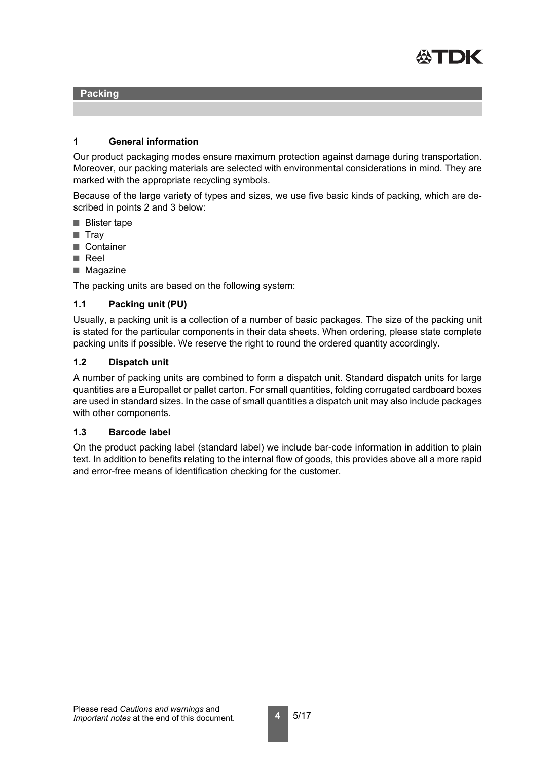

### **1 General information**

Our product packaging modes ensure maximum protection against damage during transportation. Moreover, our packing materials are selected with environmental considerations in mind. They are marked with the appropriate recycling symbols.

Because of the large variety of types and sizes, we use five basic kinds of packing, which are described in points 2 and 3 below:

- Blister tape
- Tray
- Container
- Reel
- Magazine

The packing units are based on the following system:

### **1.1 Packing unit (PU)**

Usually, a packing unit is a collection of a number of basic packages. The size of the packing unit is stated for the particular components in their data sheets. When ordering, please state complete packing units if possible. We reserve the right to round the ordered quantity accordingly.

### **1.2 Dispatch unit**

A number of packing units are combined to form a dispatch unit. Standard dispatch units for large quantities are a Europallet or pallet carton. For small quantities, folding corrugated cardboard boxes are used in standard sizes. In the case of small quantities a dispatch unit may also include packages with other components.

#### **1.3 Barcode label**

On the product packing label (standard label) we include bar-code information in addition to plain text. In addition to benefits relating to the internal flow of goods, this provides above all a more rapid and error-free means of identification checking for the customer.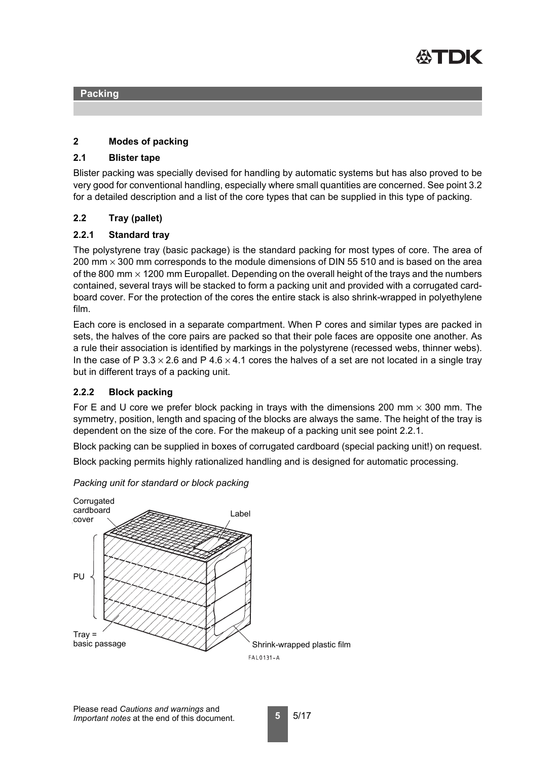

### **2 Modes of packing**

#### **2.1 Blister tape**

Blister packing was specially devised for handling by automatic systems but has also proved to be very good for conventional handling, especially where small quantities are concerned. See point 3.2 for a detailed description and a list of the core types that can be supplied in this type of packing.

### **2.2 Tray (pallet)**

### <span id="page-4-0"></span>**2.2.1 Standard tray**

The polystyrene tray (basic package) is the standard packing for most types of core. The area of 200 mm  $\times$  300 mm corresponds to the module dimensions of DIN 55 510 and is based on the area of the 800 mm  $\times$  1200 mm Europallet. Depending on the overall height of the trays and the numbers contained, several trays will be stacked to form a packing unit and provided with a corrugated cardboard cover. For the protection of the cores the entire stack is also shrink-wrapped in polyethylene film.

Each core is enclosed in a separate compartment. When P cores and similar types are packed in sets, the halves of the core pairs are packed so that their pole faces are opposite one another. As a rule their association is identified by markings in the polystyrene (recessed webs, thinner webs). In the case of P 3.3  $\times$  2.6 and P 4.6  $\times$  4.1 cores the halves of a set are not located in a single tray but in different trays of a packing unit.

#### <span id="page-4-1"></span>**2.2.2 Block packing**

For E and U core we prefer block packing in trays with the dimensions 200 mm  $\times$  300 mm. The symmetry, position, length and spacing of the blocks are always the same. The height of the tray is dependent on the size of the core. For the makeup of a packing unit see point 2.2.1.

Block packing can be supplied in boxes of corrugated cardboard (special packing unit!) on request.

Block packing permits highly rationalized handling and is designed for automatic processing.



*Packing unit for standard or block packing*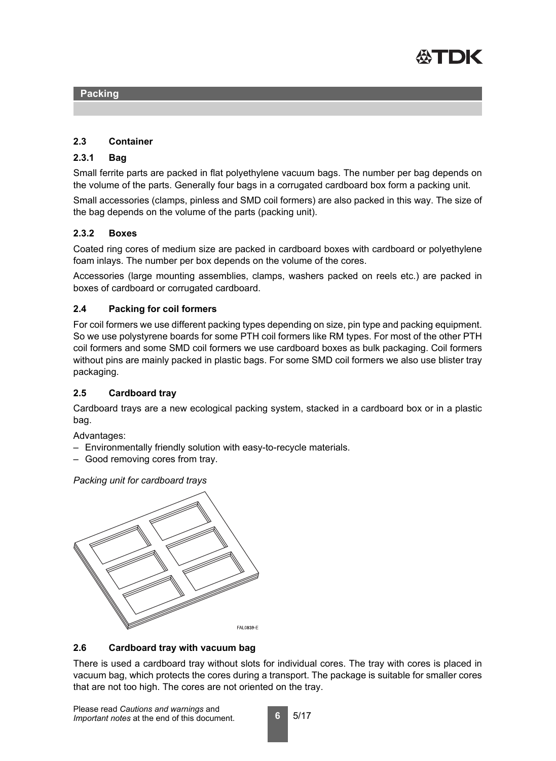

### **2.3 Container**

### <span id="page-5-2"></span>**2.3.1 Bag**

Small ferrite parts are packed in flat polyethylene vacuum bags. The number per bag depends on the volume of the parts. Generally four bags in a corrugated cardboard box form a packing unit.

Small accessories (clamps, pinless and SMD coil formers) are also packed in this way. The size of the bag depends on the volume of the parts (packing unit).

### <span id="page-5-1"></span>**2.3.2 Boxes**

Coated ring cores of medium size are packed in cardboard boxes with cardboard or polyethylene foam inlays. The number per box depends on the volume of the cores.

Accessories (large mounting assemblies, clamps, washers packed on reels etc.) are packed in boxes of cardboard or corrugated cardboard.

### **2.4 Packing for coil formers**

For coil formers we use different packing types depending on size, pin type and packing equipment. So we use polystyrene boards for some PTH coil formers like RM types. For most of the other PTH coil formers and some SMD coil formers we use cardboard boxes as bulk packaging. Coil formers without pins are mainly packed in plastic bags. For some SMD coil formers we also use blister tray packaging.

### <span id="page-5-0"></span>**2.5 Cardboard tray**

Cardboard trays are a new ecological packing system, stacked in a cardboard box or in a plastic bag.

Advantages:

- Environmentally friendly solution with easy-to-recycle materials.
- Good removing cores from tray.

*Packing unit for cardboard trays*



### <span id="page-5-3"></span>**2.6 Cardboard tray with vacuum bag**

There is used a cardboard tray without slots for individual cores. The tray with cores is placed in vacuum bag, which protects the cores during a transport. The package is suitable for smaller cores that are not too high. The cores are not oriented on the tray.

**6** 5/17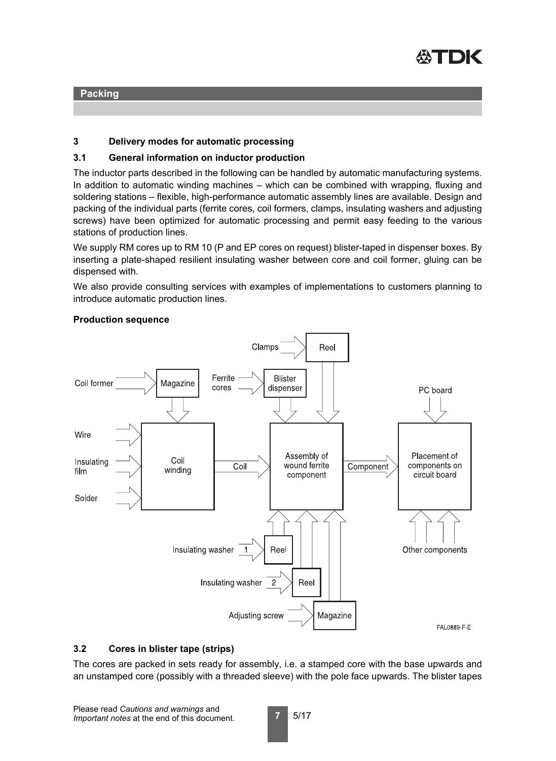

### **3 Delivery modes for automatic processing**

### **3.1 General information on inductor production**

The inductor parts described in the following can be handled by automatic manufacturing systems. In addition to automatic winding machines – which can be combined with wrapping, fluxing and soldering stations – flexible, high-performance automatic assembly lines are available. Design and packing of the individual parts (ferrite cores, coil formers, clamps, insulating washers and adjusting screws) have been optimized for automatic processing and permit easy feeding to the various stations of production lines.

We supply RM cores up to RM 10 (P and EP cores on request) blister-taped in dispenser boxes. By inserting a plate-shaped resilient insulating washer between core and coil former, gluing can be dispensed with.

We also provide consulting services with examples of implementations to customers planning to introduce automatic production lines.

#### **Production sequence**



### <span id="page-6-0"></span>**3.2 Cores in blister tape (strips)**

The cores are packed in sets ready for assembly, i.e. a stamped core with the base upwards and an unstamped core (possibly with a threaded sleeve) with the pole face upwards. The blister tapes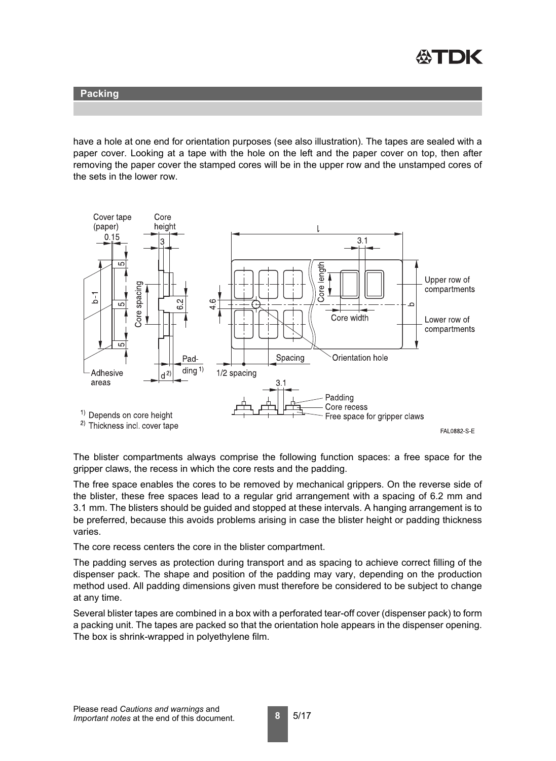

have a hole at one end for orientation purposes (see also illustration). The tapes are sealed with a paper cover. Looking at a tape with the hole on the left and the paper cover on top, then after removing the paper cover the stamped cores will be in the upper row and the unstamped cores of the sets in the lower row.

<span id="page-7-0"></span>

The blister compartments always comprise the following function spaces: a free space for the gripper claws, the recess in which the core rests and the padding.

The free space enables the cores to be removed by mechanical grippers. On the reverse side of the blister, these free spaces lead to a regular grid arrangement with a spacing of 6.2 mm and 3.1 mm. The blisters should be guided and stopped at these intervals. A hanging arrangement is to be preferred, because this avoids problems arising in case the blister height or padding thickness varies.

The core recess centers the core in the blister compartment.

The padding serves as protection during transport and as spacing to achieve correct filling of the dispenser pack. The shape and position of the padding may vary, depending on the production method used. All padding dimensions given must therefore be considered to be subject to change at any time.

Several blister tapes are combined in a box with a perforated tear-off cover (dispenser pack) to form a packing unit. The tapes are packed so that the orientation hole appears in the dispenser opening. The box is shrink-wrapped in polyethylene film.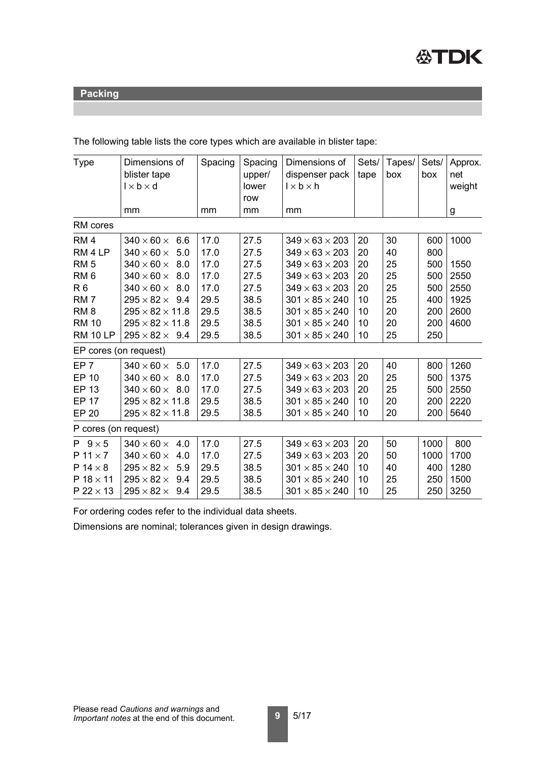

The following table lists the core types which are available in blister tape:

| <b>Type</b>           | Dimensions of<br>blister tape<br>$1 \times b \times d$ | Spacing | Spacing<br>upper/<br>lower<br>row | Dimensions of<br>dispenser pack<br>$1 \times b \times h$ | Sets/<br>tape | Tapes/<br>box | Sets/<br>box | Approx.<br>net<br>weight |
|-----------------------|--------------------------------------------------------|---------|-----------------------------------|----------------------------------------------------------|---------------|---------------|--------------|--------------------------|
|                       | mm                                                     | mm      | mm                                | mm                                                       |               |               |              | g                        |
| RM cores              |                                                        |         |                                   |                                                          |               |               |              |                          |
| RM <sub>4</sub>       | $340 \times 60 \times$<br>6.6                          | 17.0    | 27.5                              | $349 \times 63 \times 203$                               | 20            | 30            | 600          | 1000                     |
| RM <sub>4</sub> LP    | $340 \times 60 \times$<br>5.0                          | 17.0    | 27.5                              | $349 \times 63 \times 203$                               | 20            | 40            | 800          |                          |
| RM <sub>5</sub>       | $340 \times 60 \times$<br>8.0                          | 17.0    | 27.5                              | $349 \times 63 \times 203$                               | 20            | 25            | 500          | 1550                     |
| RM <sub>6</sub>       | $340 \times 60 \times$<br>8.0                          | 17.0    | 27.5                              | $349 \times 63 \times 203$                               | 20            | 25            | 500          | 2550                     |
| <b>R6</b>             | $340 \times 60 \times$<br>8.0                          | 17.0    | 27.5                              | $349 \times 63 \times 203$                               | 20            | 25            | 500          | 2550                     |
| RM <sub>7</sub>       | $295 \times 82 \times 9.4$                             | 29.5    | 38.5                              | $301 \times 85 \times 240$                               | 10            | 25            | 400          | 1925                     |
| RM <sub>8</sub>       | $295 \times 82 \times 11.8$                            | 29.5    | 38.5                              | $301 \times 85 \times 240$                               | 10            | 20            | 200          | 2600                     |
| <b>RM 10</b>          | $295 \times 82 \times 11.8$                            | 29.5    | 38.5                              | $301 \times 85 \times 240$                               | 10            | 20            | 200          | 4600                     |
| <b>RM 10 LP</b>       | $295 \times 82 \times 9.4$                             | 29.5    | 38.5                              | $301 \times 85 \times 240$                               | 10            | 25            | 250          |                          |
| EP cores (on request) |                                                        |         |                                   |                                                          |               |               |              |                          |
| EP <sub>7</sub>       | $340 \times 60 \times$<br>5.0                          | 17.0    | 27.5                              | $349 \times 63 \times 203$                               | 20            | 40            | 800          | 1260                     |
| <b>EP 10</b>          | $340 \times 60 \times$<br>8.0                          | 17.0    | 27.5                              | $349 \times 63 \times 203$                               | 20            | 25            | 500          | 1375                     |
| <b>EP 13</b>          | $340 \times 60 \times 8.0$                             | 17.0    | 27.5                              | $349 \times 63 \times 203$                               | 20            | 25            | 500          | 2550                     |
| <b>EP 17</b>          | $295 \times 82 \times 11.8$                            | 29.5    | 38.5                              | $301 \times 85 \times 240$                               | 10            | 20            | 200          | 2220                     |
| <b>EP 20</b>          | $295 \times 82 \times 11.8$                            | 29.5    | 38.5                              | $301 \times 85 \times 240$                               | 10            | 20            | 200          | 5640                     |
| P cores (on request)  |                                                        |         |                                   |                                                          |               |               |              |                          |
| $P$ 9 $\times$ 5      | $340 \times 60 \times$<br>4.0                          | 17.0    | 27.5                              | $349 \times 63 \times 203$                               | 20            | 50            | 1000         | 800                      |
| $P$ 11 $\times$ 7     | $340 \times 60 \times$<br>4.0                          | 17.0    | 27.5                              | $349 \times 63 \times 203$                               | 20            | 50            | 1000         | 1700                     |
| $P$ 14 $\times$ 8     | $295 \times 82 \times$<br>5.9                          | 29.5    | 38.5                              | $301 \times 85 \times 240$                               | 10            | 40            | 400          | 1280                     |
| $P$ 18 $\times$ 11    | $295 \times 82 \times$<br>9.4                          | 29.5    | 38.5                              | $301 \times 85 \times 240$                               | 10            | 25            | 250          | 1500                     |
| $P$ 22 $\times$ 13    | $295 \times 82 \times$<br>9.4                          | 29.5    | 38.5                              | $301 \times 85 \times 240$                               | 10            | 25            | 250          | 3250                     |

For ordering codes refer to the individual data sheets.

Dimensions are nominal; tolerances given in design drawings.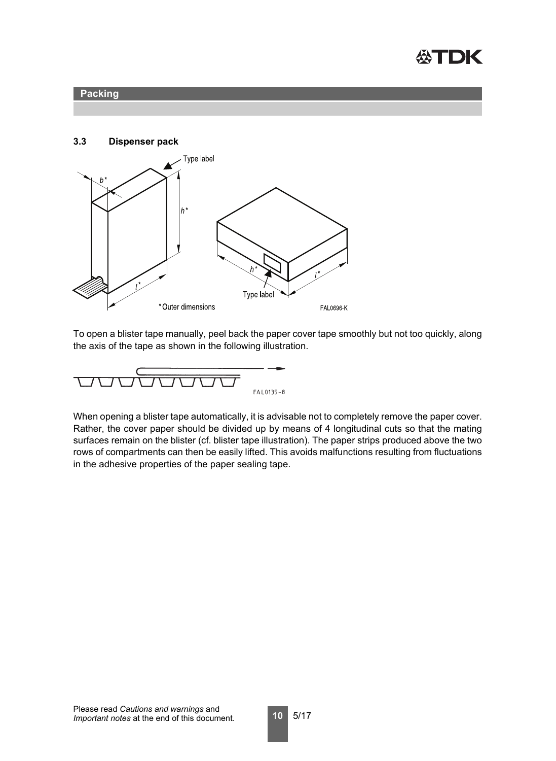





To open a blister tape manually, peel back the paper cover tape smoothly but not too quickly, along the axis of the tape as shown in the following illustration.

$$
\underbrace{\qquad \qquad }_{\text{FAL0135-8}}
$$

When opening a blister tape automatically, it is advisable not to completely remove the paper cover. Rather, the cover paper should be divided up by means of 4 longitudinal cuts so that the mating surfaces remain on the blister (cf. blister tape illustration). The paper strips produced above the two rows of compartments can then be easily lifted. This avoids malfunctions resulting from fluctuations in the adhesive properties of the paper sealing tape.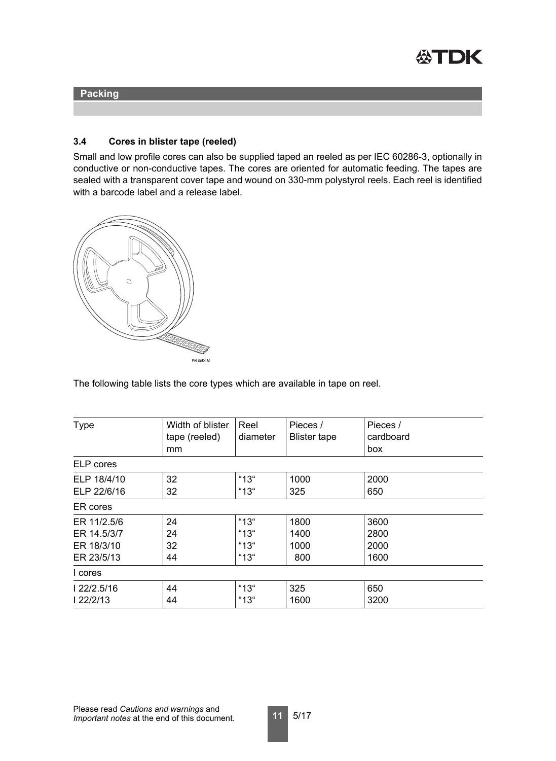

### **3.4 Cores in blister tape (reeled)**

Small and low profile cores can also be supplied taped an reeled as per IEC 60286-3, optionally in conductive or non-conductive tapes. The cores are oriented for automatic feeding. The tapes are sealed with a transparent cover tape and wound on 330-mm polystyrol reels. Each reel is identified with a barcode label and a release label.



The following table lists the core types which are available in tape on reel.

| <b>Type</b>                                            | Width of blister<br>tape (reeled)<br>mm | Reel<br>diameter             | Pieces /<br><b>Blister tape</b> | Pieces /<br>cardboard<br>box |
|--------------------------------------------------------|-----------------------------------------|------------------------------|---------------------------------|------------------------------|
| ELP cores                                              |                                         |                              |                                 |                              |
| ELP 18/4/10<br>ELP 22/6/16                             | 32<br>32                                | " $13$ "<br>"13"             | 1000<br>325                     | 2000<br>650                  |
| ER cores                                               |                                         |                              |                                 |                              |
| ER 11/2.5/6<br>ER 14.5/3/7<br>ER 18/3/10<br>ER 23/5/13 | 24<br>24<br>32<br>44                    | "13"<br>"13"<br>"13"<br>"13" | 1800<br>1400<br>1000<br>800     | 3600<br>2800<br>2000<br>1600 |
| I cores                                                |                                         |                              |                                 |                              |
| 122/2.5/16<br>122/2/13                                 | 44<br>44                                | "13"<br>"13"                 | 325<br>1600                     | 650<br>3200                  |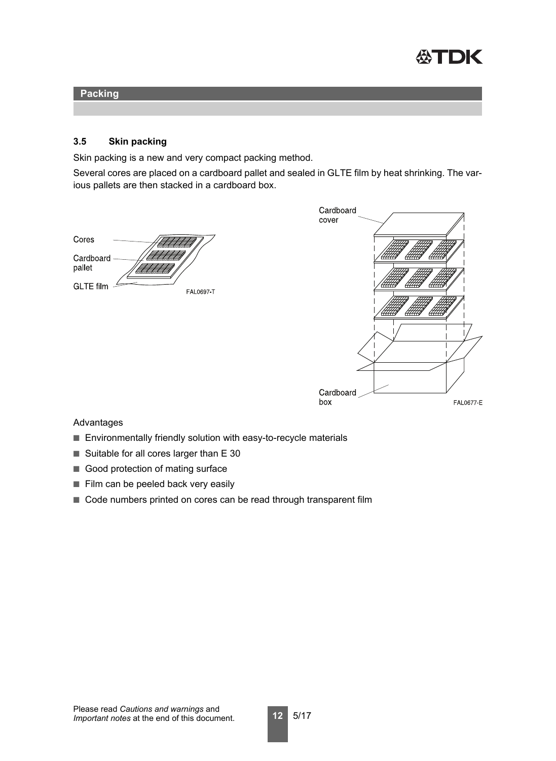

### <span id="page-11-0"></span>**3.5 Skin packing**

Skin packing is a new and very compact packing method.

Several cores are placed on a cardboard pallet and sealed in GLTE film by heat shrinking. The various pallets are then stacked in a cardboard box.

| Cores               |                  |
|---------------------|------------------|
| Cardboard<br>pallet |                  |
| <b>GLTE</b> film    | <b>FAL0697-T</b> |



#### Advantages

- Environmentally friendly solution with easy-to-recycle materials
- Suitable for all cores larger than E 30
- Good protection of mating surface
- Film can be peeled back very easily
- Code numbers printed on cores can be read through transparent film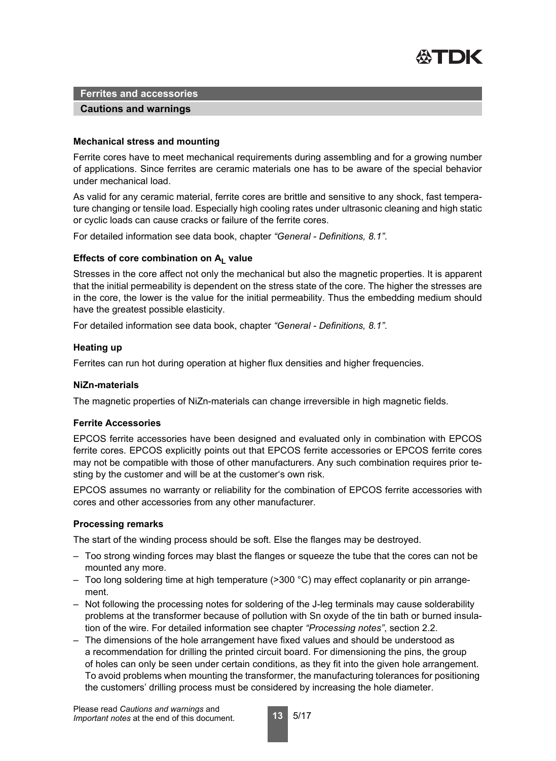

### **Cautions and warnings**

### **Mechanical stress and mounting**

Ferrite cores have to meet mechanical requirements during assembling and for a growing number of applications. Since ferrites are ceramic materials one has to be aware of the special behavior under mechanical load.

As valid for any ceramic material, ferrite cores are brittle and sensitive to any shock, fast temperature changing or tensile load. Especially high cooling rates under ultrasonic cleaning and high static or cyclic loads can cause cracks or failure of the ferrite cores.

For detailed information see data book, chapter *"General - Definitions, 8.1"*.

### Effects of core combination on A<sub>L</sub> value

Stresses in the core affect not only the mechanical but also the magnetic properties. It is apparent that the initial permeability is dependent on the stress state of the core. The higher the stresses are in the core, the lower is the value for the initial permeability. Thus the embedding medium should have the greatest possible elasticity.

For detailed information see data book, chapter *"General - Definitions, 8.1"*.

### **Heating up**

Ferrites can run hot during operation at higher flux densities and higher frequencies.

#### **NiZn-materials**

The magnetic properties of NiZn-materials can change irreversible in high magnetic fields.

### **Ferrite Accessories**

EPCOS ferrite accessories have been designed and evaluated only in combination with EPCOS ferrite cores. EPCOS explicitly points out that EPCOS ferrite accessories or EPCOS ferrite cores may not be compatible with those of other manufacturers. Any such combination requires prior testing by the customer and will be at the customer's own risk.

EPCOS assumes no warranty or reliability for the combination of EPCOS ferrite accessories with cores and other accessories from any other manufacturer.

### **Processing remarks**

The start of the winding process should be soft. Else the flanges may be destroyed.

- Too strong winding forces may blast the flanges or squeeze the tube that the cores can not be mounted any more.
- Too long soldering time at high temperature (>300 °C) may effect coplanarity or pin arrangement.
- Not following the processing notes for soldering of the J-leg terminals may cause solderability problems at the transformer because of pollution with Sn oxyde of the tin bath or burned insulation of the wire. For detailed information see chapter *"Processing notes"*, section 2.2.
- The dimensions of the hole arrangement have fixed values and should be understood as a recommendation for drilling the printed circuit board. For dimensioning the pins, the group of holes can only be seen under certain conditions, as they fit into the given hole arrangement. To avoid problems when mounting the transformer, the manufacturing tolerances for positioning the customers' drilling process must be considered by increasing the hole diameter.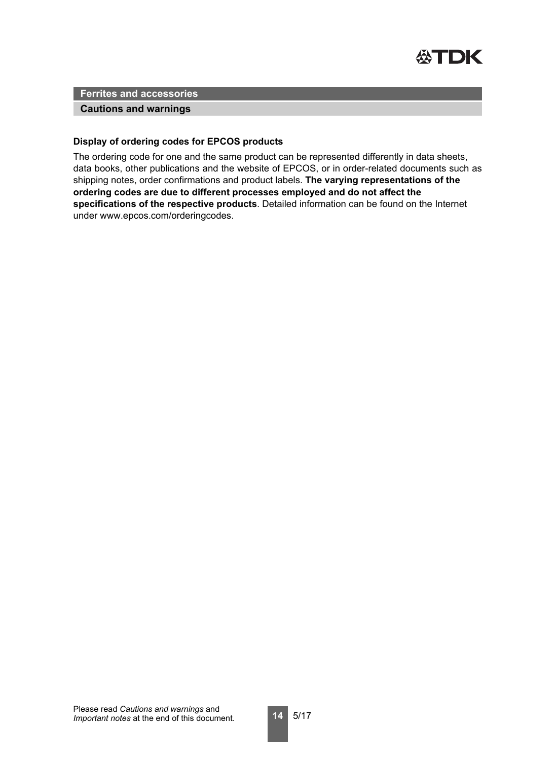

### **Cautions and warnings**

### **Display of ordering codes for EPCOS products**

The ordering code for one and the same product can be represented differently in data sheets, data books, other publications and the website of EPCOS, or in order-related documents such as shipping notes, order confirmations and product labels. **The varying representations of the ordering codes are due to different processes employed and do not affect the specifications of the respective products**. Detailed information can be found on the Internet under www.epcos.com/orderingcodes.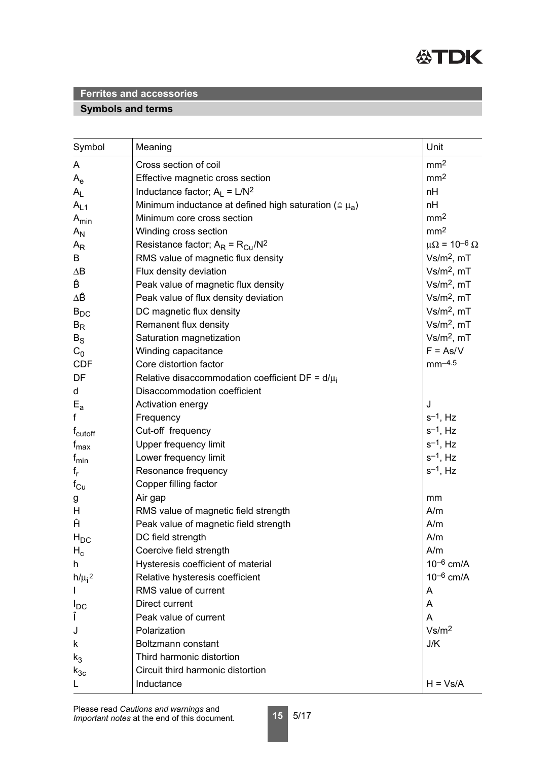

# **Symbols and terms**

| Symbol                    | Meaning                                                           | Unit                         |
|---------------------------|-------------------------------------------------------------------|------------------------------|
| A                         | Cross section of coil                                             | mm <sup>2</sup>              |
| $\mathsf{A}_{\mathsf{e}}$ | Effective magnetic cross section                                  | mm <sup>2</sup>              |
| $A_{L}$                   | Inductance factor; $A_L = L/N^2$                                  | nH                           |
| $A_{L1}$                  | Minimum inductance at defined high saturation ( $\approx \mu_a$ ) | nH                           |
| $A_{min}$                 | Minimum core cross section                                        | mm <sup>2</sup>              |
| $A_N$                     | Winding cross section                                             | mm <sup>2</sup>              |
| $A_{R}$                   | Resistance factor; $A_R = R_{Cu}/N^2$                             | $\mu\Omega = 10^{-6} \Omega$ |
| B                         | RMS value of magnetic flux density                                | $Vs/m2$ , mT                 |
| $\Delta B$                | Flux density deviation                                            | $Vs/m2$ , mT                 |
| Ê                         | Peak value of magnetic flux density                               | $Vs/m2$ , mT                 |
| ΔÊ                        | Peak value of flux density deviation                              | $Vs/m2$ , mT                 |
| $B_{DC}$                  | DC magnetic flux density                                          | $Vs/m2$ , mT                 |
| $B_R$                     | Remanent flux density                                             | $Vs/m2$ , mT                 |
| $B_S$                     | Saturation magnetization                                          | $Vs/m2$ , mT                 |
| $C_0$                     | Winding capacitance                                               | $F = As/V$                   |
| <b>CDF</b>                | Core distortion factor                                            | $mm-4.5$                     |
| DF                        | Relative disaccommodation coefficient DF = $d/\mu_i$              |                              |
| d                         | Disaccommodation coefficient                                      |                              |
| $E_{a}$                   | Activation energy                                                 | J                            |
| f                         | Frequency                                                         | $s^{-1}$ , Hz                |
| f <sub>cutoff</sub>       | Cut-off frequency                                                 | $s^{-1}$ , Hz                |
| $f_{\text{max}}$          | <b>Upper frequency limit</b>                                      | $s^{-1}$ , Hz                |
| $f_{min}$                 | Lower frequency limit                                             | $s^{-1}$ , Hz                |
| $f_r$                     | Resonance frequency                                               | $s^{-1}$ , Hz                |
| $f_{Cu}$                  | Copper filling factor                                             |                              |
| g                         | Air gap                                                           | mm                           |
| H                         | RMS value of magnetic field strength                              | A/m                          |
| Ĥ                         | Peak value of magnetic field strength                             | A/m                          |
| $H_{DC}$                  | DC field strength                                                 | A/m                          |
| $H_c$                     | Coercive field strength                                           | A/m                          |
| h                         | Hysteresis coefficient of material                                | $10^{-6}$ cm/A               |
| $h/\mu_i^2$               | Relative hysteresis coefficient                                   | $10^{-6}$ cm/A               |
|                           | RMS value of current                                              | A                            |
| $I_{DC}$                  | Direct current                                                    | A                            |
| Î                         | Peak value of current                                             | A                            |
| J                         | Polarization                                                      | Vs/m <sup>2</sup>            |
| k                         | Boltzmann constant                                                | J/K                          |
| $k_3$                     | Third harmonic distortion                                         |                              |
| $k_{3c}$                  | Circuit third harmonic distortion                                 |                              |
|                           | Inductance                                                        | $H = Vs/A$                   |

**15** 5/17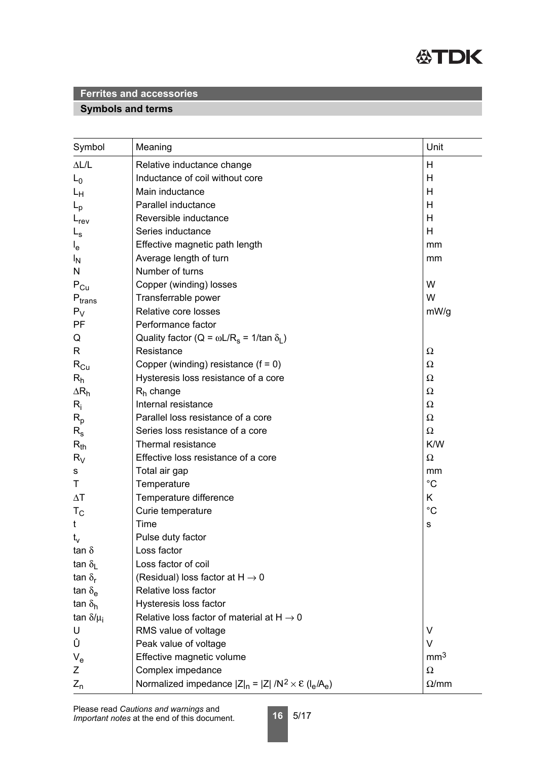

# **Symbols and terms**

| Symbol                        | Meaning                                                                 | Unit            |
|-------------------------------|-------------------------------------------------------------------------|-----------------|
| $\Delta L/L$                  | Relative inductance change                                              | Н               |
| $L_0$                         | Inductance of coil without core                                         | Н               |
| Lн                            | Main inductance                                                         | Н               |
| $L_{\rm p}$                   | Parallel inductance                                                     | H               |
| $L_{rev}$                     | Reversible inductance                                                   | Н               |
| $L_{\rm s}$                   | Series inductance                                                       | H               |
| $I_{e}$                       | Effective magnetic path length                                          | mm              |
| <sup>I</sup> N                | Average length of turn                                                  | mm              |
| N                             | Number of turns                                                         |                 |
| $P_{Cu}$                      | Copper (winding) losses                                                 | W               |
| $\mathsf{P}_{\mathsf{trans}}$ | Transferrable power                                                     | W               |
| $P_V$                         | Relative core losses                                                    | mW/g            |
| PF                            | Performance factor                                                      |                 |
| Q                             | Quality factor (Q = $\omega L/R_s$ = 1/tan $\delta_l$ )                 |                 |
| R                             | Resistance                                                              | Ω               |
| $R_{Cu}$                      | Copper (winding) resistance $(f = 0)$                                   | Ω               |
| $R_h$                         | Hysteresis loss resistance of a core                                    | Ω               |
| $\Delta R_h$                  | $R_h$ change                                                            | Ω               |
| $R_i$                         | Internal resistance                                                     | Ω               |
| $R_{p}$                       | Parallel loss resistance of a core                                      | Ω               |
| $R_{\rm s}$                   | Series loss resistance of a core                                        | $\Omega$        |
| $R_{th}$                      | Thermal resistance                                                      | K/W             |
| $R_V$                         | Effective loss resistance of a core                                     | Ω               |
| s                             | Total air gap                                                           | mm              |
| Τ                             | Temperature                                                             | $^{\circ}C$     |
| $\Delta T$                    | Temperature difference                                                  | K               |
| $T_{\rm C}$                   | Curie temperature                                                       | $^{\circ}C$     |
| t                             | Time                                                                    | s               |
| $t_v$                         | Pulse duty factor                                                       |                 |
| tan $\delta$                  | Loss factor                                                             |                 |
| tan $\delta_{\rm L}$          | Loss factor of coil                                                     |                 |
| tan $\delta_{\rm r}$          | (Residual) loss factor at $H \rightarrow 0$                             |                 |
| tan $\delta_{\rm e}$          | Relative loss factor                                                    |                 |
| tan $\delta_{h}$              | Hysteresis loss factor                                                  |                 |
| tan $\delta/\mu_i$            | Relative loss factor of material at $H \rightarrow 0$                   |                 |
| U                             | RMS value of voltage                                                    | V               |
| Û                             | Peak value of voltage                                                   | $\vee$          |
| $V_{e}$                       | Effective magnetic volume                                               | mm <sup>3</sup> |
| Ζ                             | Complex impedance                                                       | $\Omega$        |
| $Z_{n}$                       | Normalized impedance $ Z _n =  Z  / N^2 \times \mathcal{E} (I_e / A_e)$ | $\Omega$ /mm    |

**16** 5/17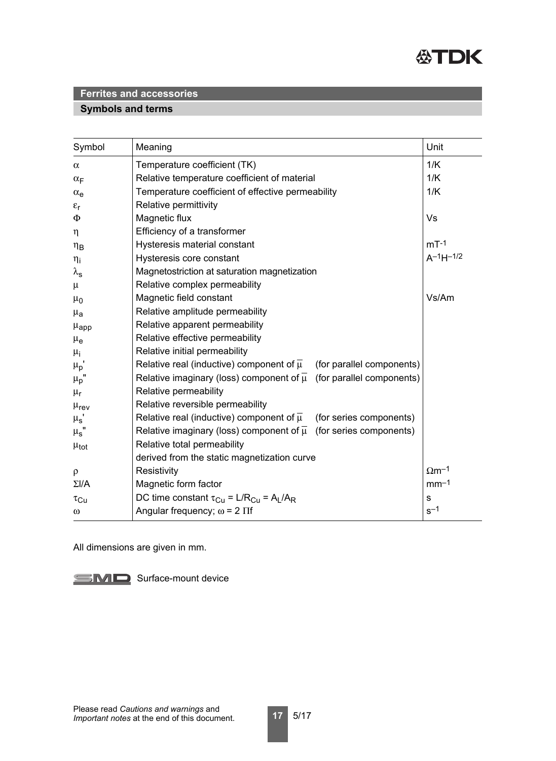

### **Symbols and terms**

| Symbol             | Meaning                                                                              | Unit                     |
|--------------------|--------------------------------------------------------------------------------------|--------------------------|
| $\alpha$           | Temperature coefficient (TK)                                                         | 1/K                      |
| $\alpha_F$         | Relative temperature coefficient of material                                         | 1/K                      |
| $\alpha_e$         | Temperature coefficient of effective permeability                                    | 1/K                      |
| $\varepsilon_{r}$  | Relative permittivity                                                                |                          |
| $\Phi$             | Magnetic flux                                                                        | Vs                       |
| $\eta$             | Efficiency of a transformer                                                          |                          |
| $\eta_B$           | Hysteresis material constant                                                         | $mT-1$                   |
| $\eta_i$           | Hysteresis core constant                                                             | $A^{-1}H^{-1/2}$         |
| $\lambda_{\rm s}$  | Magnetostriction at saturation magnetization                                         |                          |
| $\mu$              | Relative complex permeability                                                        |                          |
| $\mu_0$            | Magnetic field constant                                                              | Vs/Am                    |
| $\mu_{a}$          | Relative amplitude permeability                                                      |                          |
| $\mu_{app}$        | Relative apparent permeability                                                       |                          |
| $\mu_{\rm e}$      | Relative effective permeability                                                      |                          |
| $\mu_{i}$          | Relative initial permeability                                                        |                          |
| $\mu_p$ '          | Relative real (inductive) component of $\overline{\mu}$<br>(for parallel components) |                          |
| $\mu_p$ "          | Relative imaginary (loss) component of $\overline{\mu}$ (for parallel components)    |                          |
| $\mu_r$            | Relative permeability                                                                |                          |
| $\mu_{\text{rev}}$ | Relative reversible permeability                                                     |                          |
| $\mu_s$ '          | Relative real (inductive) component of $\overline{\mu}$<br>(for series components)   |                          |
| $\mu_{\text{s}}$ " | Relative imaginary (loss) component of $\overline{\mu}$ (for series components)      |                          |
| $\mu_{\text{tot}}$ | Relative total permeability                                                          |                          |
|                    | derived from the static magnetization curve                                          |                          |
| $\rho$             | Resistivity                                                                          | $\Omega$ m <sup>-1</sup> |
| $\Sigma I/A$       | Magnetic form factor                                                                 | $mm-1$                   |
| $\tau_{\rm Cu}$    | DC time constant $\tau_{Cu} = L/R_{Cu} = A_L/A_R$                                    | $\mathbf S$              |
| $\omega$           | Angular frequency; $\omega$ = 2 $\Pi$ f                                              | $s^{-1}$                 |

All dimensions are given in mm.

SMD Surface-mount device